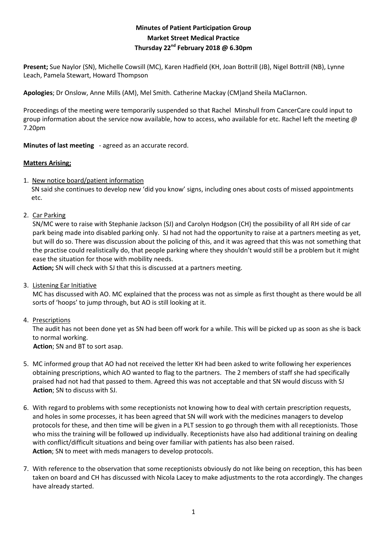# **Minutes of Patient Participation Group Market Street Medical Practice Thursday 22nd February 2018 @ 6.30pm**

**Present;** Sue Naylor (SN), Michelle Cowsill (MC), Karen Hadfield (KH, Joan Bottrill (JB), Nigel Bottrill (NB), Lynne Leach, Pamela Stewart, Howard Thompson

**Apologies**; Dr Onslow, Anne Mills (AM), Mel Smith. Catherine Mackay (CM)and Sheila MaClarnon.

Proceedings of the meeting were temporarily suspended so that Rachel Minshull from CancerCare could input to group information about the service now available, how to access, who available for etc. Rachel left the meeting  $\omega$ 7.20pm

**Minutes of last meeting** - agreed as an accurate record.

#### **Matters Arising;**

### 1. New notice board/patient information

 SN said she continues to develop new 'did you know' signs, including ones about costs of missed appointments etc.

### 2. Car Parking

SN/MC were to raise with Stephanie Jackson (SJ) and Carolyn Hodgson (CH) the possibility of all RH side of car park being made into disabled parking only. SJ had not had the opportunity to raise at a partners meeting as yet, but will do so. There was discussion about the policing of this, and it was agreed that this was not something that the practise could realistically do, that people parking where they shouldn't would still be a problem but it might ease the situation for those with mobility needs.

**Action;** SN will check with SJ that this is discussed at a partners meeting.

3. Listening Ear Initiative

MC has discussed with AO. MC explained that the process was not as simple as first thought as there would be all sorts of 'hoops' to jump through, but AO is still looking at it.

4. Prescriptions

The audit has not been done yet as SN had been off work for a while. This will be picked up as soon as she is back to normal working.

**Action**; SN and BT to sort asap.

- 5. MC informed group that AO had not received the letter KH had been asked to write following her experiences obtaining prescriptions, which AO wanted to flag to the partners. The 2 members of staff she had specifically praised had not had that passed to them. Agreed this was not acceptable and that SN would discuss with SJ **Action**; SN to discuss with SJ.
- 6. With regard to problems with some receptionists not knowing how to deal with certain prescription requests, and holes in some processes, it has been agreed that SN will work with the medicines managers to develop protocols for these, and then time will be given in a PLT session to go through them with all receptionists. Those who miss the training will be followed up individually. Receptionists have also had additional training on dealing with conflict/difficult situations and being over familiar with patients has also been raised. **Action**; SN to meet with meds managers to develop protocols.
- 7. With reference to the observation that some receptionists obviously do not like being on reception, this has been taken on board and CH has discussed with Nicola Lacey to make adjustments to the rota accordingly. The changes have already started.